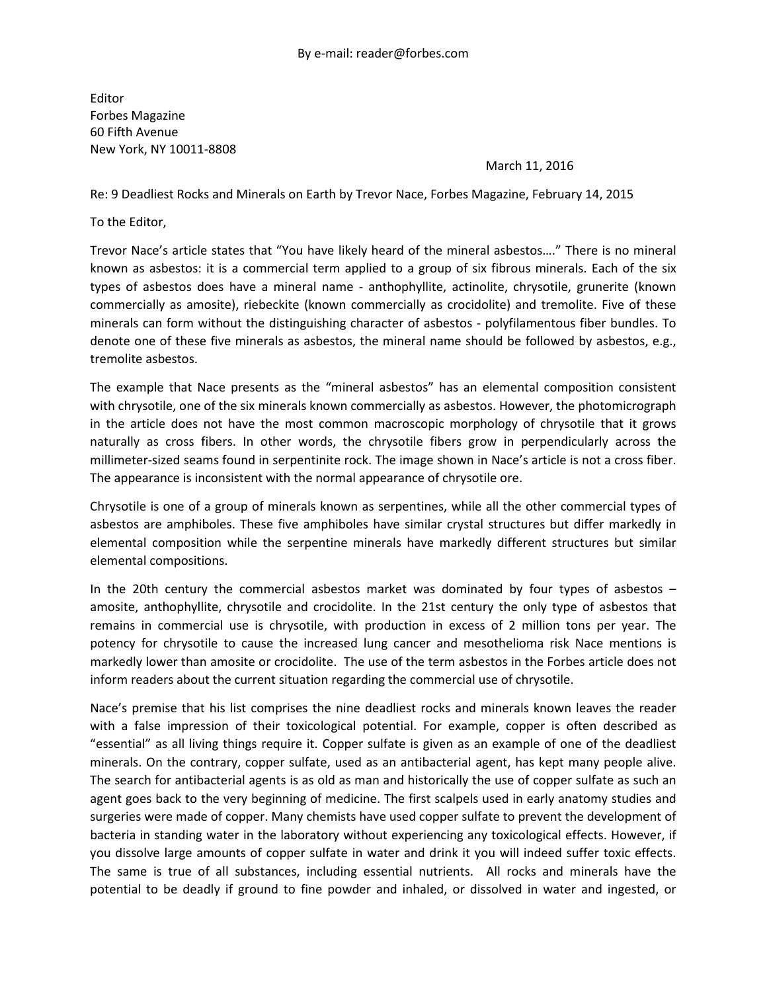Editor Forbes Magazine 60 Fifth Avenue New York, NY 10011-8808

## March 11, 2016

Re: 9 Deadliest Rocks and Minerals on Earth by Trevor Nace, Forbes Magazine, February 14, 2015

To the Editor,

Trevor Nace's article states that "You have likely heard of the mineral asbestos…." There is no mineral known as asbestos: it is a commercial term applied to a group of six fibrous minerals. Each of the six types of asbestos does have a mineral name - anthophyllite, actinolite, chrysotile, grunerite (known commercially as amosite), riebeckite (known commercially as crocidolite) and tremolite. Five of these minerals can form without the distinguishing character of asbestos - polyfilamentous fiber bundles. To denote one of these five minerals as asbestos, the mineral name should be followed by asbestos, e.g., tremolite asbestos.

The example that Nace presents as the "mineral asbestos" has an elemental composition consistent with chrysotile, one of the six minerals known commercially as asbestos. However, the photomicrograph in the article does not have the most common macroscopic morphology of chrysotile that it grows naturally as cross fibers. In other words, the chrysotile fibers grow in perpendicularly across the millimeter-sized seams found in serpentinite rock. The image shown in Nace's article is not a cross fiber. The appearance is inconsistent with the normal appearance of chrysotile ore.

Chrysotile is one of a group of minerals known as serpentines, while all the other commercial types of asbestos are amphiboles. These five amphiboles have similar crystal structures but differ markedly in elemental composition while the serpentine minerals have markedly different structures but similar elemental compositions.

In the 20th century the commercial asbestos market was dominated by four types of asbestos  $$ amosite, anthophyllite, chrysotile and crocidolite. In the 21st century the only type of asbestos that remains in commercial use is chrysotile, with production in excess of 2 million tons per year. The potency for chrysotile to cause the increased lung cancer and mesothelioma risk Nace mentions is markedly lower than amosite or crocidolite. The use of the term asbestos in the Forbes article does not inform readers about the current situation regarding the commercial use of chrysotile.

Nace's premise that his list comprises the nine deadliest rocks and minerals known leaves the reader with a false impression of their toxicological potential. For example, copper is often described as "essential" as all living things require it. Copper sulfate is given as an example of one of the deadliest minerals. On the contrary, copper sulfate, used as an antibacterial agent, has kept many people alive. The search for antibacterial agents is as old as man and historically the use of copper sulfate as such an agent goes back to the very beginning of medicine. The first scalpels used in early anatomy studies and surgeries were made of copper. Many chemists have used copper sulfate to prevent the development of bacteria in standing water in the laboratory without experiencing any toxicological effects. However, if you dissolve large amounts of copper sulfate in water and drink it you will indeed suffer toxic effects. The same is true of all substances, including essential nutrients. All rocks and minerals have the potential to be deadly if ground to fine powder and inhaled, or dissolved in water and ingested, or